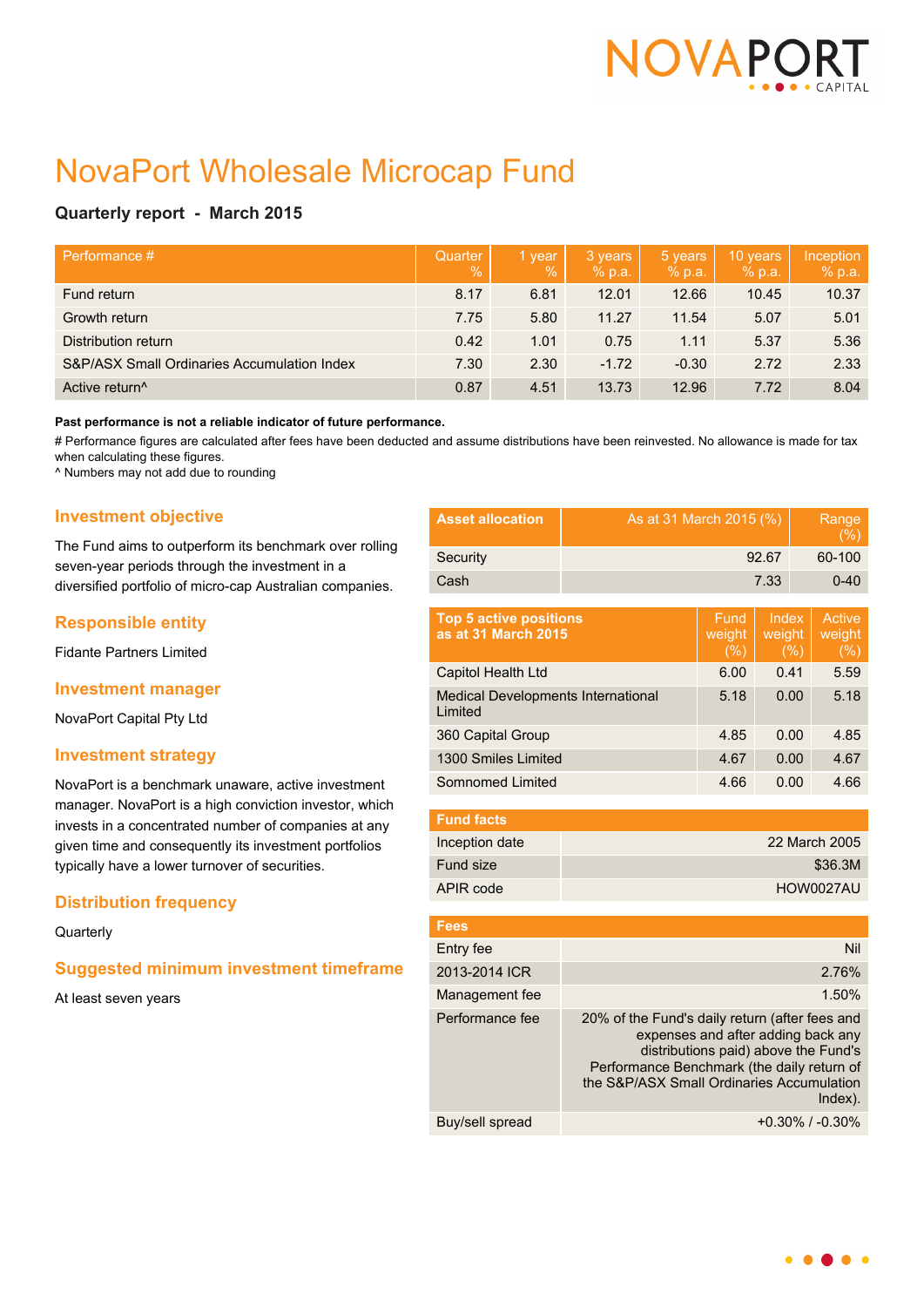

# NovaPort Wholesale Microcap Fund

## **Quarterly report - March 2015**

| Performance #                               | Quarter<br>$\%$ | 1 year<br>$\sqrt{2}$ | 3 years<br>% p.a. | 5 years<br>% p.a. | 10 years<br>% p.a. | Inception<br>% p.a. |
|---------------------------------------------|-----------------|----------------------|-------------------|-------------------|--------------------|---------------------|
| Fund return                                 | 8.17            | 6.81                 | 12.01             | 12.66             | 10.45              | 10.37               |
| Growth return                               | 7.75            | 5.80                 | 11.27             | 11.54             | 5.07               | 5.01                |
| Distribution return                         | 0.42            | 1.01                 | 0.75              | 1.11              | 5.37               | 5.36                |
| S&P/ASX Small Ordinaries Accumulation Index | 7.30            | 2.30                 | $-1.72$           | $-0.30$           | 2.72               | 2.33                |
| Active return <sup>^</sup>                  | 0.87            | 4.51                 | 13.73             | 12.96             | 7.72               | 8.04                |

#### **Past performance is not a reliable indicator of future performance.**

# Performance figures are calculated after fees have been deducted and assume distributions have been reinvested. No allowance is made for tax when calculating these figures.

^ Numbers may not add due to rounding

## **Investment objective**

The Fund aims to outperform its benchmark over rolling seven-year periods through the investment in a diversified portfolio of micro-cap Australian companies.

## **Responsible entity**

Fidante Partners Limited

### **Investment manager**

NovaPort Capital Pty Ltd

### **Investment strategy**

NovaPort is a benchmark unaware, active investment manager. NovaPort is a high conviction investor, which invests in a concentrated number of companies at any given time and consequently its investment portfolios typically have a lower turnover of securities.

## **Distribution frequency**

#### **Quarterly**

## **Suggested minimum investment timeframe**

At least seven years

| <b>Asset allocation</b> | As at 31 March 2015 (%) | Range<br>(%) |
|-------------------------|-------------------------|--------------|
| Security                | 92.67                   | 60-100       |
| Cash                    | 7.33                    | $0 - 40$     |

| <b>Top 5 active positions</b><br>as at 31 March 2015 | Fund<br>weight<br>(%) | Index<br>weight<br>(%) | Active<br>weight<br>(%) |
|------------------------------------------------------|-----------------------|------------------------|-------------------------|
| Capitol Health Ltd                                   | 6.00                  | 0.41                   | 5.59                    |
| <b>Medical Developments International</b><br>Limited | 5.18                  | 0.00                   | 5.18                    |
| 360 Capital Group                                    | 4.85                  | 0.00                   | 4.85                    |
| 1300 Smiles Limited                                  | 4.67                  | 0.00                   | 4.67                    |
| Somnomed Limited                                     | 4.66                  | 0.00                   | 4.66                    |

| <b>Fund facts</b> |               |
|-------------------|---------------|
| Inception date    | 22 March 2005 |
| Fund size         | \$36.3M       |
| APIR code         | HOW0027AU     |

| <b>Fees</b>     |                                                                                                                                                                                                                                    |
|-----------------|------------------------------------------------------------------------------------------------------------------------------------------------------------------------------------------------------------------------------------|
| Entry fee       | Nil                                                                                                                                                                                                                                |
| 2013-2014 ICR   | 2.76%                                                                                                                                                                                                                              |
| Management fee  | 1.50%                                                                                                                                                                                                                              |
| Performance fee | 20% of the Fund's daily return (after fees and<br>expenses and after adding back any<br>distributions paid) above the Fund's<br>Performance Benchmark (the daily return of<br>the S&P/ASX Small Ordinaries Accumulation<br>Index). |
| Buy/sell spread | $+0.30\%$ / $-0.30\%$                                                                                                                                                                                                              |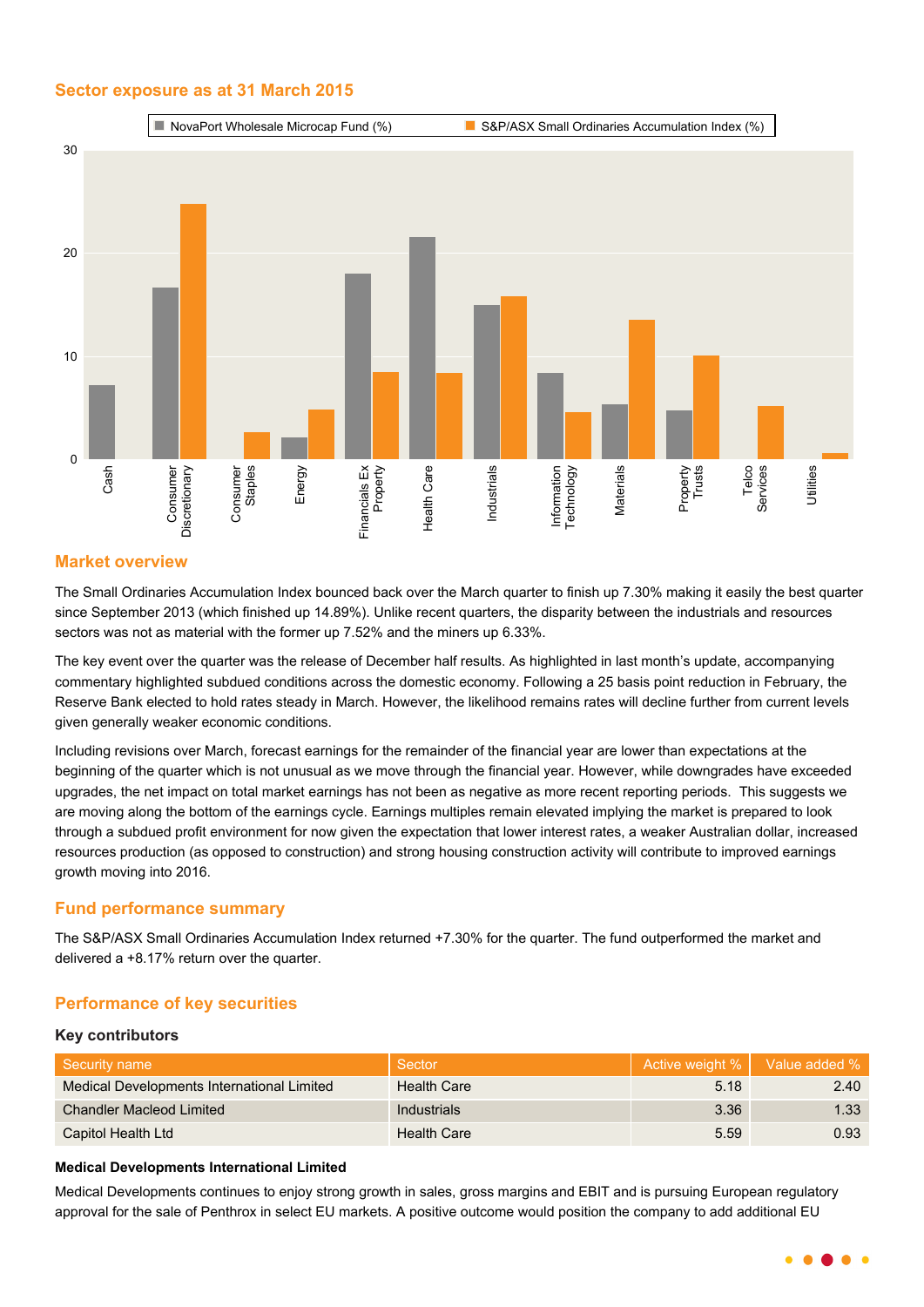## **Sector exposure as at 31 March 2015**



## **Market overview**

The Small Ordinaries Accumulation Index bounced back over the March quarter to finish up 7.30% making it easily the best quarter since September 2013 (which finished up 14.89%). Unlike recent quarters, the disparity between the industrials and resources sectors was not as material with the former up 7.52% and the miners up 6.33%.

The key event over the quarter was the release of December half results. As highlighted in last month's update, accompanying commentary highlighted subdued conditions across the domestic economy. Following a 25 basis point reduction in February, the Reserve Bank elected to hold rates steady in March. However, the likelihood remains rates will decline further from current levels given generally weaker economic conditions.

Including revisions over March, forecast earnings for the remainder of the financial year are lower than expectations at the beginning of the quarter which is not unusual as we move through the financial year. However, while downgrades have exceeded upgrades, the net impact on total market earnings has not been as negative as more recent reporting periods. This suggests we are moving along the bottom of the earnings cycle. Earnings multiples remain elevated implying the market is prepared to look through a subdued profit environment for now given the expectation that lower interest rates, a weaker Australian dollar, increased resources production (as opposed to construction) and strong housing construction activity will contribute to improved earnings growth moving into 2016.

## **Fund performance summary**

The S&P/ASX Small Ordinaries Accumulation Index returned +7.30% for the quarter. The fund outperformed the market and delivered a +8.17% return over the quarter.

## **Performance of key securities**

### **Key contributors**

| Security name                              | Sector             |      | Active weight %   Value added % |
|--------------------------------------------|--------------------|------|---------------------------------|
| Medical Developments International Limited | <b>Health Care</b> | 5.18 | 2.40                            |
| <b>Chandler Macleod Limited</b>            | <b>Industrials</b> | 3.36 | 1.33                            |
| Capitol Health Ltd                         | <b>Health Care</b> | 5.59 | 0.93                            |

## **Medical Developments International Limited**

Medical Developments continues to enjoy strong growth in sales, gross margins and EBIT and is pursuing European regulatory approval for the sale of Penthrox in select EU markets. A positive outcome would position the company to add additional EU